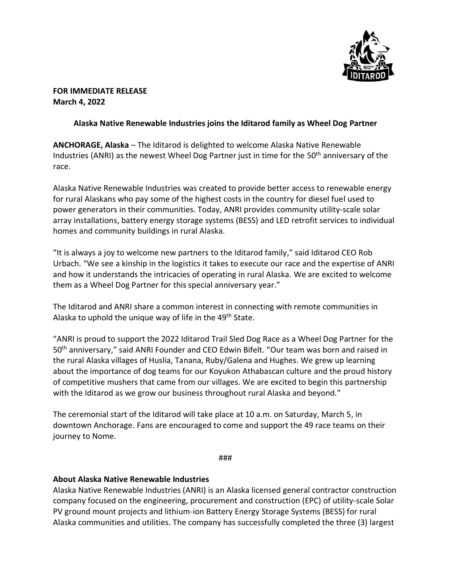

# **FOR IMMEDIATE RELEASE March 4, 2022**

# **Alaska Native Renewable Industries joins the Iditarod family as Wheel Dog Partner**

**ANCHORAGE, Alaska** – The Iditarod is delighted to welcome Alaska Native Renewable Industries (ANRI) as the newest Wheel Dog Partner just in time for the 50th anniversary of the race.

Alaska Native Renewable Industries was created to provide better access to renewable energy for rural Alaskans who pay some of the highest costs in the country for diesel fuel used to power generators in their communities. Today, ANRI provides community utility-scale solar array installations, battery energy storage systems (BESS) and LED retrofit services to individual homes and community buildings in rural Alaska.

"It is always a joy to welcome new partners to the Iditarod family," said Iditarod CEO Rob Urbach. "We see a kinship in the logistics it takes to execute our race and the expertise of ANRI and how it understands the intricacies of operating in rural Alaska. We are excited to welcome them as a Wheel Dog Partner for this special anniversary year."

The Iditarod and ANRI share a common interest in connecting with remote communities in Alaska to uphold the unique way of life in the 49<sup>th</sup> State.

"ANRI is proud to support the 2022 Iditarod Trail Sled Dog Race as a Wheel Dog Partner for the 50th anniversary," said ANRI Founder and CEO Edwin Bifelt. "Our team was born and raised in the rural Alaska villages of Huslia, Tanana, Ruby/Galena and Hughes. We grew up learning about the importance of dog teams for our Koyukon Athabascan culture and the proud history of competitive mushers that came from our villages. We are excited to begin this partnership with the Iditarod as we grow our business throughout rural Alaska and beyond."

The ceremonial start of the Iditarod will take place at 10 a.m. on Saturday, March 5, in downtown Anchorage. Fans are encouraged to come and support the 49 race teams on their journey to Nome.

###

# **About Alaska Native Renewable Industries**

Alaska Native Renewable Industries (ANRI) is an Alaska licensed general contractor construction company focused on the engineering, procurement and construction (EPC) of utility-scale Solar PV ground mount projects and lithium-ion Battery Energy Storage Systems (BESS) for rural Alaska communities and utilities. The company has successfully completed the three (3) largest